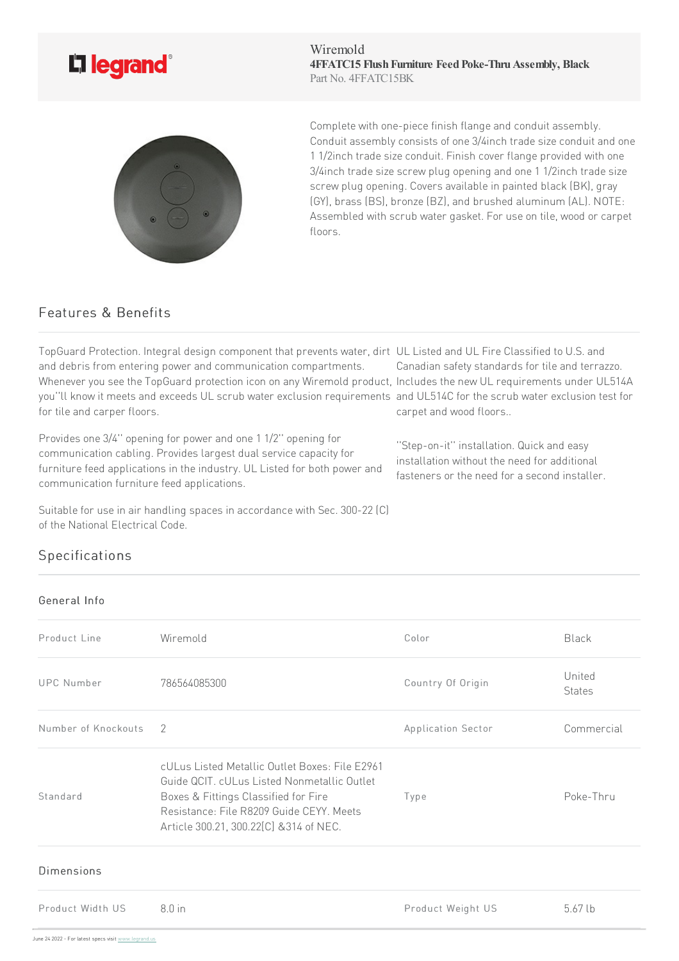

Wiremold **4FFATC15 FlushFurniture FeedPoke-ThruAssembly, Black** Part No. 4FFATC15BK



Complete with one-piece finish flange and conduit assembly. Conduit assembly consists of one 3/4inch trade size conduit and one 1 1/2inch trade size conduit. Finish cover flange provided with one 3/4inch trade size screw plug opening and one 1 1/2inch trade size screw plug opening. Covers available in painted black (BK), gray (GY), brass (BS), bronze (BZ), and brushed aluminum (AL). NOTE: Assembled with scrub water gasket. For use on tile, wood or carpet floors.

## Features & Benefits

TopGuard Protection. Integral design component that prevents water, dirt UL Listed and UL Fire Classified to U.S. and and debris from entering power and communication compartments. Whenever you see the TopGuard protection icon on any Wiremold product, Includes the new UL requirements under UL514A you''ll know it meets and exceeds UL scrub water exclusion requirements and UL514C for the scrub water exclusion test for for tile and carper floors. carpet and wood floors..

Provides one 3/4" opening for power and one 1 1/2" opening for communication cabling. Provides largest dual service capacity for furniture feed applications in the industry. UL Listed for both power and communication furniture feed applications.

Canadian safety standards for tile and terrazzo.

''Step-on-it'' installation. Quickand easy installation without the need for additional fasteners or the need for a second installer.

Suitable for use in air handling spaces in accordance with Sec. 300-22 (C) of the National Electrical Code.

## Specifications

## General Info

| Product Line        | Wiremold                                                                                                                                                                                                                     | Color              | <b>Black</b>            |
|---------------------|------------------------------------------------------------------------------------------------------------------------------------------------------------------------------------------------------------------------------|--------------------|-------------------------|
| UPC Number          | 786564085300                                                                                                                                                                                                                 | Country Of Origin  | United<br><b>States</b> |
| Number of Knockouts | -2                                                                                                                                                                                                                           | Application Sector | Commercial              |
| Standard            | cULus Listed Metallic Outlet Boxes: File E2961<br>Guide QCIT. cULus Listed Nonmetallic Outlet<br>Boxes & Fittings Classified for Fire<br>Resistance: File R8209 Guide CEYY, Meets<br>Article 300.21, 300.22[C] & 314 of NEC. | Type               | Poke-Thru               |
| <b>Dimensions</b>   |                                                                                                                                                                                                                              |                    |                         |
| Product Width US    | $8.0$ in                                                                                                                                                                                                                     | Product Weight US  | $5.67$ lb               |